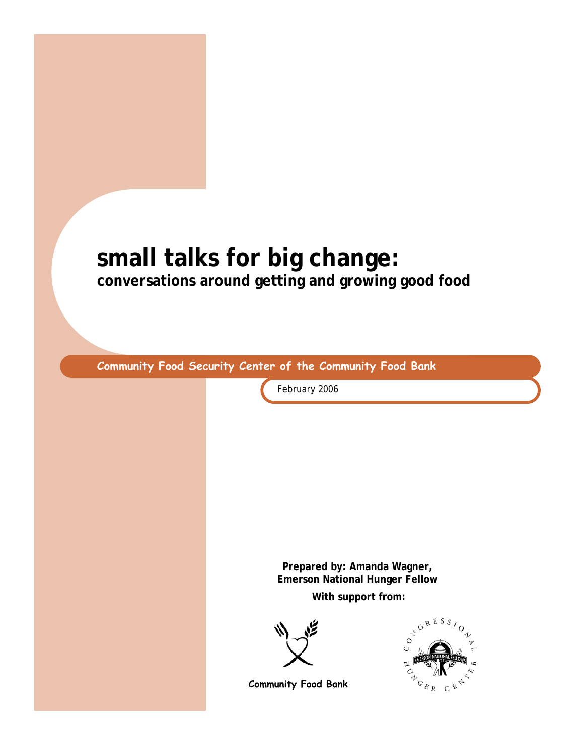# **small talks for big change: conversations around getting and growing good food**

**Community Food Security Center of the Community Food Bank** 

February 2006

**Prepared by: Amanda Wagner, Emerson National Hunger Fellow** 

**With support from:** 





**Community Food Bank**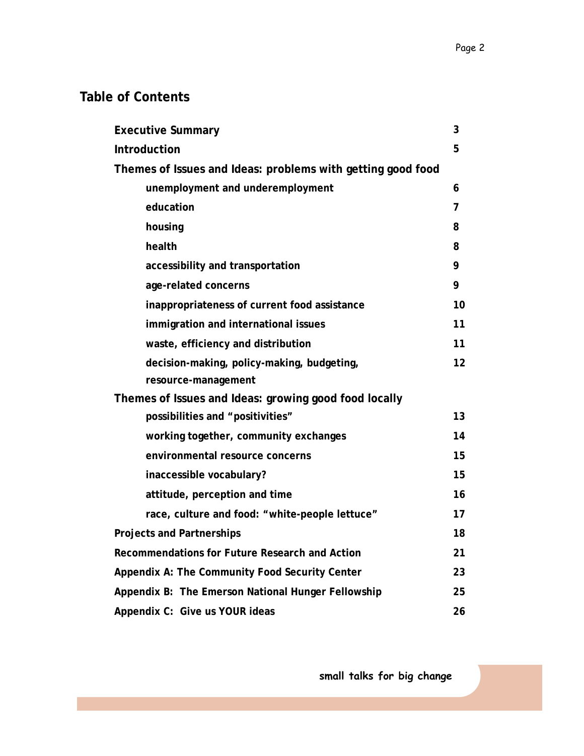### **Table of Contents**

| <b>Executive Summary</b>                                    | 3  |
|-------------------------------------------------------------|----|
| <b>Introduction</b>                                         | 5  |
| Themes of Issues and Ideas: problems with getting good food |    |
| unemployment and underemployment                            | 6  |
| education                                                   | 7  |
| housing                                                     | 8  |
| health                                                      | 8  |
| accessibility and transportation                            | 9  |
| age-related concerns                                        | 9  |
| inappropriateness of current food assistance                | 10 |
| immigration and international issues                        | 11 |
| waste, efficiency and distribution                          | 11 |
| decision-making, policy-making, budgeting,                  | 12 |
| resource-management                                         |    |
| Themes of Issues and Ideas: growing good food locally       |    |
| possibilities and "positivities"                            | 13 |
| working together, community exchanges                       | 14 |
| environmental resource concerns                             | 15 |
| inaccessible vocabulary?                                    | 15 |
| attitude, perception and time                               | 16 |
| race, culture and food: "white-people lettuce"              | 17 |
| <b>Projects and Partnerships</b>                            | 18 |
| Recommendations for Future Research and Action              | 21 |
| Appendix A: The Community Food Security Center              | 23 |
| Appendix B: The Emerson National Hunger Fellowship          | 25 |
| Appendix C: Give us YOUR ideas                              | 26 |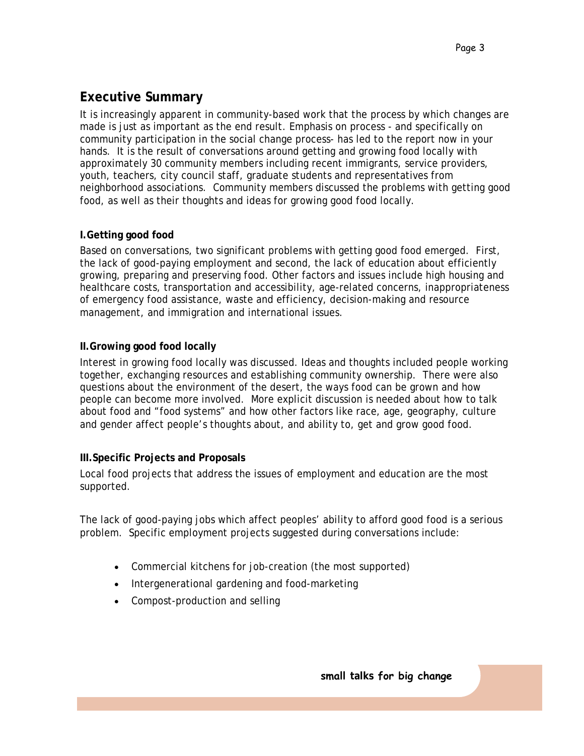### **Executive Summary**

It is increasingly apparent in community-based work that the *process* by which changes are made is just as important as the end result. Emphasis on process - and specifically on community participation in the social change process- has led to the report now in your hands. It is the result of conversations around getting and growing food locally with approximately 30 community members including recent immigrants, service providers, youth, teachers, city council staff, graduate students and representatives from neighborhood associations. Community members discussed the problems with getting good food, as well as their thoughts and ideas for growing good food locally.

### **I.Getting good food**

Based on conversations, two significant problems with getting good food emerged. First, the lack of good-paying employment and second, the lack of education about efficiently growing, preparing and preserving food. Other factors and issues include high housing and healthcare costs, transportation and accessibility, age-related concerns, inappropriateness of emergency food assistance, waste and efficiency, decision-making and resource management, and immigration and international issues.

### **II.Growing good food locally**

Interest in growing food locally was discussed. Ideas and thoughts included people working together, exchanging resources and establishing community ownership. There were also questions about the environment of the desert, the ways food can be grown and how people can become more involved. More explicit discussion is needed about how to talk about food and "food systems" and how other factors like race, age, geography, culture and gender affect people's thoughts about, and ability to, get and grow good food.

### **III.Specific Projects and Proposals**

Local food projects that address the issues of employment and education are the most supported.

The lack of good-paying jobs which affect peoples' ability to afford good food is a serious problem. Specific employment projects suggested during conversations include:

- Commercial kitchens for job-creation (the most supported)
- Intergenerational gardening and food-marketing
- Compost-production and selling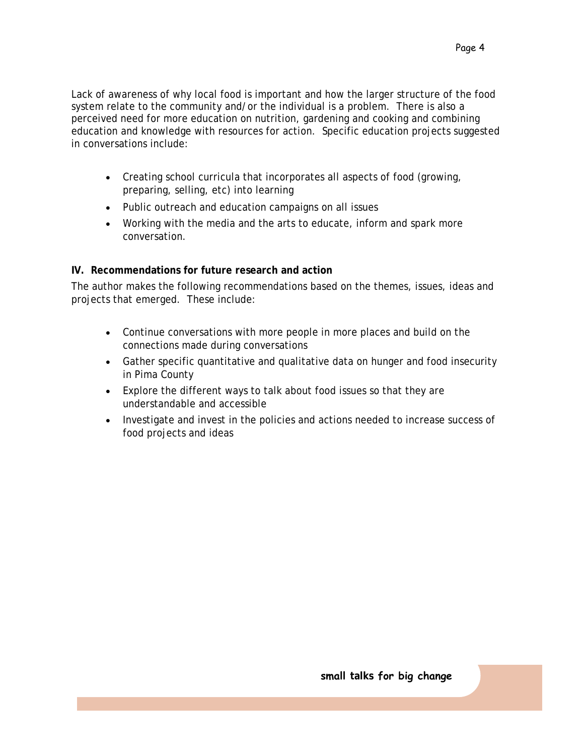- Creating school curricula that incorporates all aspects of food (growing, preparing, selling, etc) into learning
- Public outreach and education campaigns on all issues
- Working with the media and the arts to educate, inform and spark more conversation.

#### **IV. Recommendations for future research and action**

The author makes the following recommendations based on the themes, issues, ideas and projects that emerged. These include:

- Continue conversations with more people in more places and build on the connections made during conversations
- Gather specific quantitative and qualitative data on hunger and food insecurity in Pima County
- Explore the different ways to talk about food issues so that they are understandable and accessible
- Investigate and invest in the policies and actions needed to increase success of food projects and ideas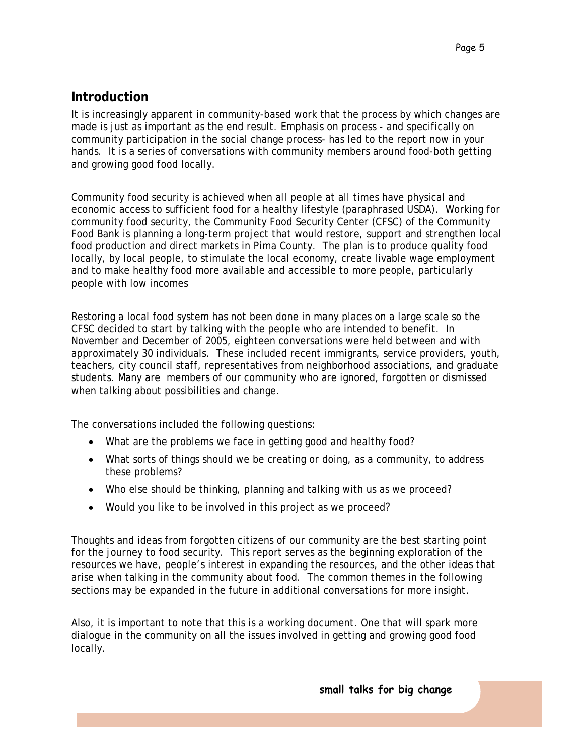### **Introduction**

It is increasingly apparent in community-based work that the *process* by which changes are made is just as important as the end result. Emphasis on process - and specifically on community participation in the social change process- has led to the report now in your hands. It is a series of conversations with community members around food-both getting and growing good food locally.

Community food security is achieved when all people at all times have physical and economic access to sufficient food for a healthy lifestyle (paraphrased USDA). Working for community food security, the Community Food Security Center (CFSC) of the Community Food Bank is planning a long-term project that would restore, support and strengthen local food production and direct markets in Pima County. The plan is to produce quality food locally, by local people, to stimulate the local economy, create livable wage employment and to make healthy food more available and accessible to more people, particularly people with low incomes

Restoring a local food system has not been done in many places on a large scale so the CFSC decided to start by talking with the people who are intended to benefit. In November and December of 2005, eighteen conversations were held between and with approximately 30 individuals. These included recent immigrants, service providers, youth, teachers, city council staff, representatives from neighborhood associations, and graduate students. Many are members of our community who are ignored, forgotten or dismissed when talking about possibilities and change.

The conversations included the following questions:

- What are the problems we face in getting good and healthy food?
- What sorts of things should we be creating or doing, as a community, to address these problems?
- Who else should be thinking, planning and talking with us as we proceed?
- Would you like to be involved in this project as we proceed?

Thoughts and ideas from forgotten citizens of our community are the best starting point for the journey to food security. This report serves as the beginning exploration of the resources we have, people's interest in expanding the resources, and the other ideas that arise when talking in the community about food. The common themes in the following sections may be expanded in the future in additional conversations for more insight.

Also, it is important to note that this is a working document. One that will spark more dialogue in the community on all the issues involved in getting and growing good food locally.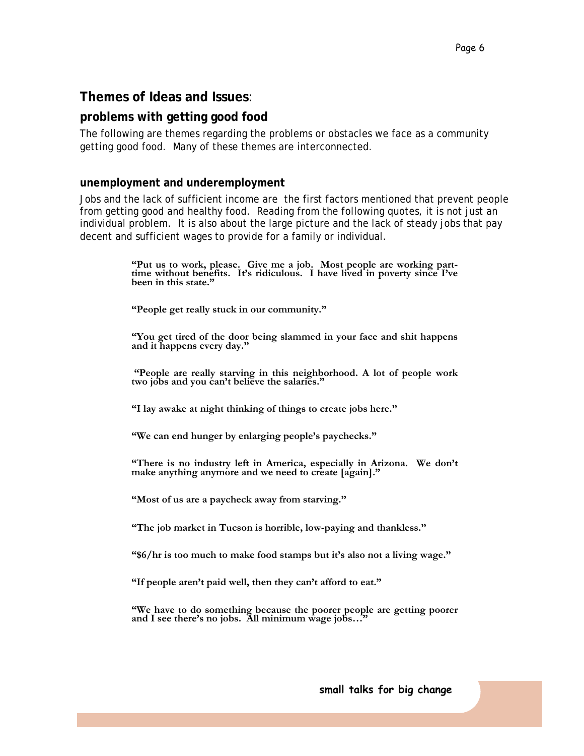#### **Themes of Ideas and Issues**:

#### **problems with getting good food**

The following are themes regarding the problems or obstacles we face as a community getting good food. Many of these themes are interconnected.

#### **unemployment and underemployment**

Jobs and the lack of sufficient income are the first factors mentioned that prevent people from getting good and healthy food. Reading from the following quotes, it is not just an individual problem. It is also about the large picture and the lack of steady jobs that pay decent and sufficient wages to provide for a family or individual.

**"Put us to work, please. Give me a job. Most people are working part- time without benefits. It's ridiculous. I have lived in poverty since I've been in this state."** 

**"People get really stuck in our community."** 

**"You get tired of the door being slammed in your face and shit happens and it happens every day."** 

 **"People are really starving in this neighborhood. A lot of people work two jobs and you can't believe the salaries."** 

**"I lay awake at night thinking of things to create jobs here."** 

**"We can end hunger by enlarging people's paychecks."** 

**"There is no industry left in America, especially in Arizona. We don't**  make anything anymore and we need to create [again]."

**"Most of us are a paycheck away from starving."**

**"The job market in Tucson is horrible, low-paying and thankless."** 

**"\$6/hr is too much to make food stamps but it's also not a living wage."** 

**"If people aren't paid well, then they can't afford to eat."** 

**"We have to do something because the poorer people are getting poorer and I see there's no jobs. All minimum wage jobs…"**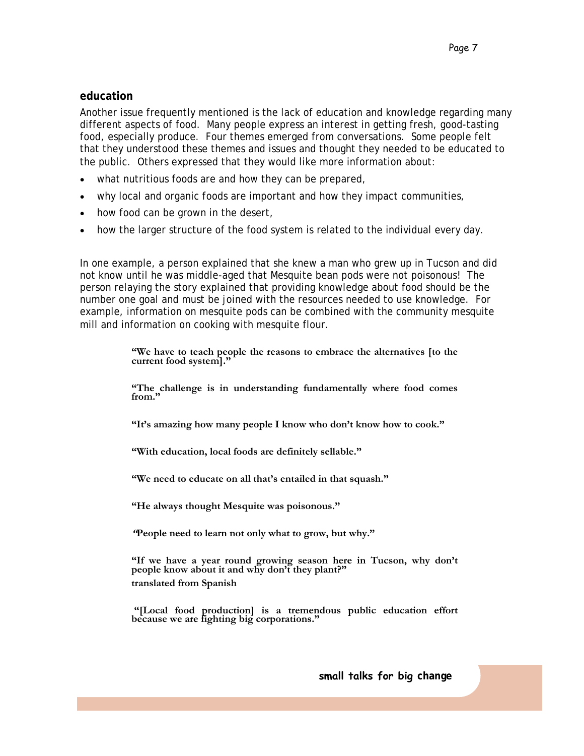#### **education**

Another issue frequently mentioned is the lack of education and knowledge regarding many different aspects of food. Many people express an interest in getting fresh, good-tasting food, especially produce. Four themes emerged from conversations. Some people felt that they understood these themes and issues and thought they needed to be educated to the public. Others expressed that they would like more information about:

- what nutritious foods are and how they can be prepared,
- why local and organic foods are important and how they impact communities,
- how food can be grown in the desert,
- how the larger structure of the food system is related to the individual every day.

In one example, a person explained that she knew a man who grew up in Tucson and did not know until he was middle-aged that Mesquite bean pods were not poisonous! The person relaying the story explained that providing knowledge about food should be the number one goal and must be joined with the resources needed to use knowledge. For example, information on mesquite pods can be combined with the community mesquite mill and information on cooking with mesquite flour.

> **"We have to teach people the reasons to embrace the alternatives [to the current food system]."**

> **"The challenge is in understanding fundamentally where food comes from."**

**"It's amazing how many people I know who don't know how to cook."** 

**"With education, local foods are definitely sellable."** 

**"We need to educate on all that's entailed in that squash."** 

**"He always thought Mesquite was poisonous."** 

**"People need to learn not only what to grow, but why."** 

**"If we have a year round growing season here in Tucson, why don't**  people know about it and why don't they plant?" **translated from Spanish** 

 **"[Local food production] is a tremendous public education effort because we are fighting big corporations."**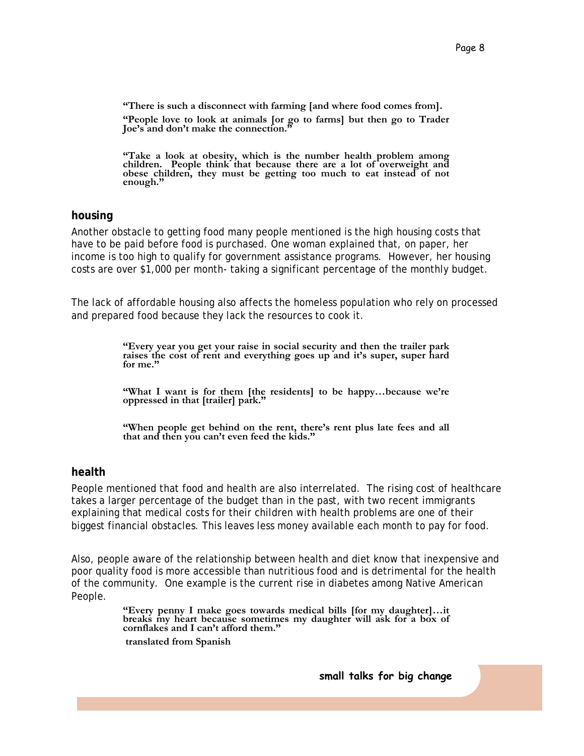**"There is such a disconnect with farming [and where food comes from]. "People love to look at animals [or go to farms] but then go to Trader Joe's and don't make the connection."** 

**"Take a look at obesity, which is the number health problem among children. People think that because there are a lot of overweight and obese children, they must be getting too much to eat instead of not enough."** 

#### **housing**

Another obstacle to getting food many people mentioned is the high housing costs that have to be paid before food is purchased. One woman explained that, on paper, her income is too high to qualify for government assistance programs. However, her housing costs are over \$1,000 per month- taking a significant percentage of the monthly budget.

The lack of affordable housing also affects the homeless population who rely on processed and prepared food because they lack the resources to cook it.

> **"Every year you get your raise in social security and then the trailer park raises the cost of rent and everything goes up and it's super, super hard for me."**

> **"What I want is for them [the residents] to be happy…because we're oppressed in that [trailer] park."**

> **"When people get behind on the rent, there's rent plus late fees and all that and then you can't even feed the kids."**

#### **health**

People mentioned that food and health are also interrelated. The rising cost of healthcare takes a larger percentage of the budget than in the past, with two recent immigrants explaining that medical costs for their children with health problems are one of their biggest financial obstacles. This leaves less money available each month to pay for food.

Also, people aware of the relationship between health and diet know that inexpensive and poor quality food is more accessible than nutritious food and is detrimental for the health of the community. One example is the current rise in diabetes among Native American People.

> **"Every penny I make goes towards medical bills [for my daughter]…it breaks my heart because sometimes my daughter will ask for a box of cornflakes and I can't afford them."**

 **translated from Spanish**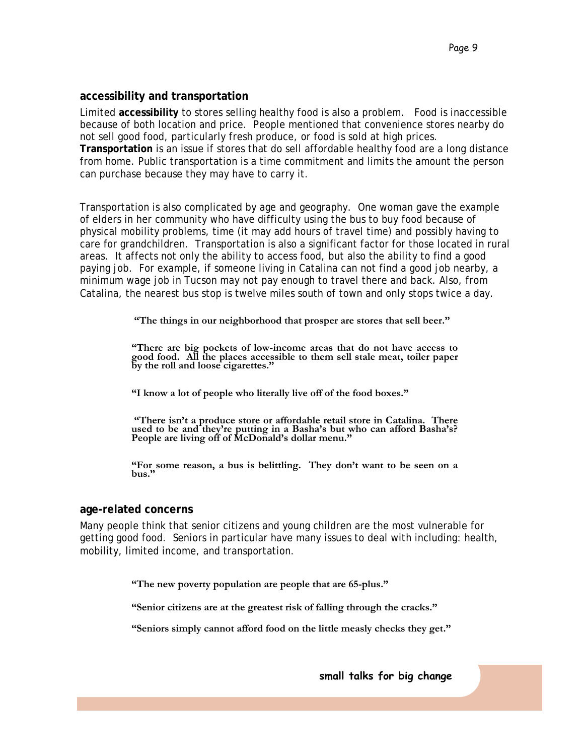#### **accessibility and transportation**

Limited **accessibility** to stores selling healthy food is also a problem. Food is inaccessible because of both location and price. People mentioned that convenience stores nearby do not sell good food, particularly fresh produce, or food is sold at high prices. **Transportation** is an issue if stores that do sell affordable healthy food are a long distance from home. Public transportation is a time commitment and limits the amount the person can purchase because they may have to carry it.

Transportation is also complicated by age and geography. One woman gave the example of elders in her community who have difficulty using the bus to buy food because of physical mobility problems, time (it may add hours of travel time) and possibly having to care for grandchildren. Transportation is also a significant factor for those located in rural areas. It affects not only the ability to access food, but also the ability to find a good paying job. For example, if someone living in Catalina can not find a good job nearby, a minimum wage job in Tucson may not pay enough to travel there and back. Also, from Catalina, the nearest bus stop is twelve miles south of town and only stops twice a day.

 **"The things in our neighborhood that prosper are stores that sell beer."** 

**"There are big pockets of low-income areas that do not have access to good food. All the places accessible to them sell stale meat, toiler paper by the roll and loose cigarettes."** 

**"I know a lot of people who literally live off of the food boxes."** 

 **"There isn't a produce store or affordable retail store in Catalina. There used to be and they're putting in a Basha's but who can afford Basha's? People are living off of McDonald's dollar menu."** 

**"For some reason, a bus is belittling. They don't want to be seen on a bus."** 

#### **age-related concerns**

Many people think that senior citizens and young children are the most vulnerable for getting good food. Seniors in particular have many issues to deal with including: health, mobility, limited income, and transportation.

**"The new poverty population are people that are 65-plus."** 

**"Senior citizens are at the greatest risk of falling through the cracks."** 

**"Seniors simply cannot afford food on the little measly checks they get."**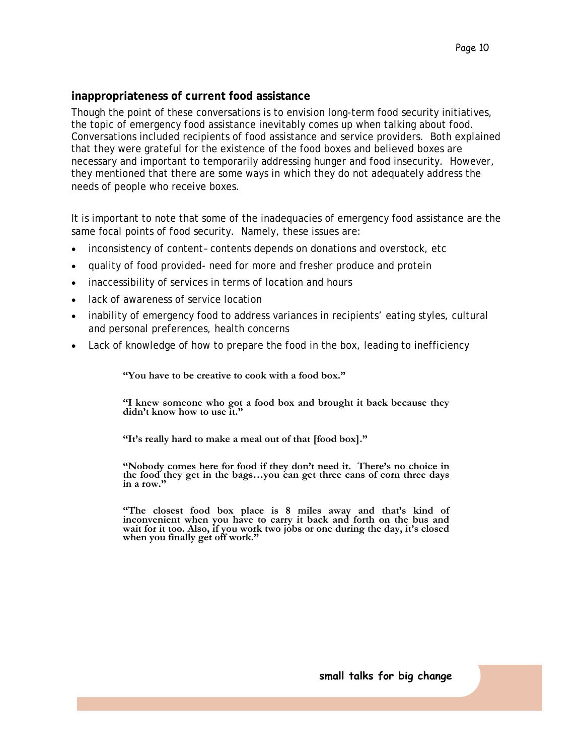#### **inappropriateness of current food assistance**

Though the point of these conversations is to envision long-term food security initiatives, the topic of emergency food assistance inevitably comes up when talking about food. Conversations included recipients of food assistance and service providers. Both explained that they were grateful for the existence of the food boxes and believed boxes are necessary and important to temporarily addressing hunger and food insecurity. However, they mentioned that there are some ways in which they do not adequately address the needs of people who receive boxes.

It is important to note that some of the inadequacies of emergency food assistance are the same focal points of food security. Namely, these issues are:

- inconsistency of content– contents depends on donations and overstock, etc
- quality of food provided- need for more and fresher produce and protein
- inaccessibility of services in terms of location and hours
- lack of awareness of service location
- inability of emergency food to address variances in recipients' eating styles, cultural and personal preferences, health concerns
- Lack of knowledge of how to prepare the food in the box, leading to inefficiency

**"You have to be creative to cook with a food box."** 

**"I knew someone who got a food box and brought it back because they didn't know how to use it."** 

**"It's really hard to make a meal out of that [food box]."** 

**"Nobody comes here for food if they don't need it. There's no choice in the food they get in the bags…you can get three cans of corn three days in a row."** 

**"The closest food box place is 8 miles away and that's kind of inconvenient when you have to carry it back and forth on the bus and wait for it too. Also, if you work two jobs or one during the day, it's closed when you finally get off work."**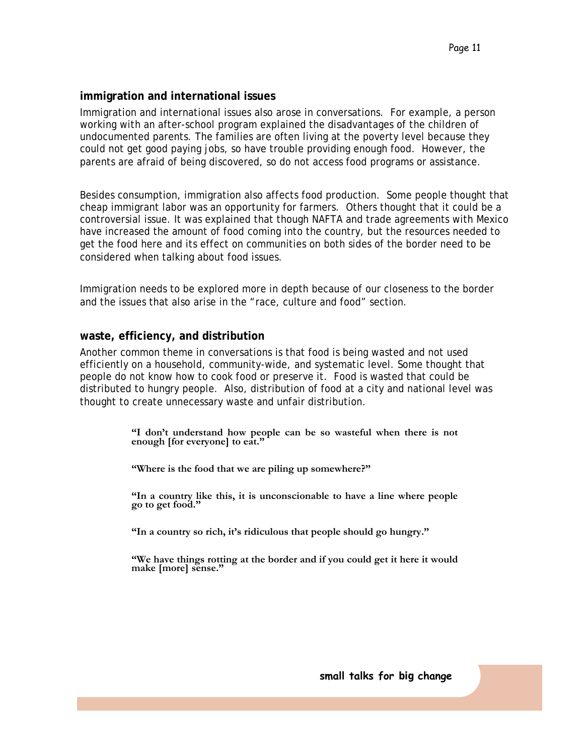#### **immigration and international issues**

Immigration and international issues also arose in conversations. For example, a person working with an after-school program explained the disadvantages of the children of undocumented parents. The families are often living at the poverty level because they could not get good paying jobs, so have trouble providing enough food. However, the parents are afraid of being discovered, so do not access food programs or assistance.

Besides consumption, immigration also affects food production. Some people thought that cheap immigrant labor was an opportunity for farmers. Others thought that it could be a controversial issue. It was explained that though NAFTA and trade agreements with Mexico have increased the amount of food coming into the country, but the resources needed to get the food here and its effect on communities on both sides of the border need to be considered when talking about food issues.

Immigration needs to be explored more in depth because of our closeness to the border and the issues that also arise in the "race, culture and food" section.

#### **waste, efficiency, and distribution**

Another common theme in conversations is that food is being wasted and not used efficiently on a household, community-wide, and systematic level. Some thought that people do not know how to cook food or preserve it. Food is wasted that could be distributed to hungry people. Also, distribution of food at a city and national level was thought to create unnecessary waste and unfair distribution.

> **"I don't understand how people can be so wasteful when there is not enough [for everyone] to eat."**

**"Where is the food that we are piling up somewhere?"** 

**"In a country like this, it is unconscionable to have a line where people go to get food."** 

**"In a country so rich, it's ridiculous that people should go hungry."** 

**"We have things rotting at the border and if you could get it here it would make [more] sense."**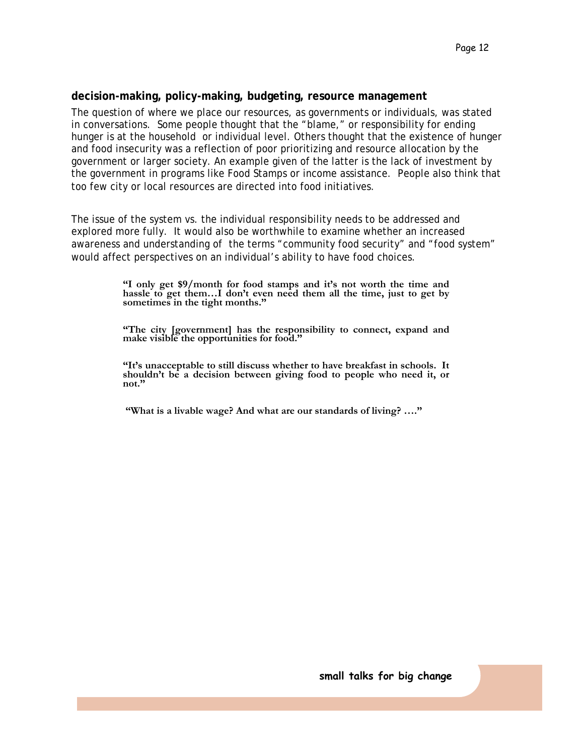#### **decision-making, policy-making, budgeting, resource management**

The question of where we place our resources, as governments or individuals, was stated in conversations. Some people thought that the "blame," or responsibility for ending hunger is at the household or individual level. Others thought that the existence of hunger and food insecurity was a reflection of poor prioritizing and resource allocation by the government or larger society. An example given of the latter is the lack of investment by the government in programs like Food Stamps or income assistance. People also think that too few city or local resources are directed into food initiatives.

The issue of the system vs. the individual responsibility needs to be addressed and explored more fully. It would also be worthwhile to examine whether an increased awareness and understanding of the terms "community food security" and "food system" would affect perspectives on an individual's ability to have food choices.

> **"I only get \$9/month for food stamps and it's not worth the time and hassle to get them…I don't even need them all the time, just to get by sometimes in the tight months."**

> **"The city [government] has the responsibility to connect, expand and make visible the opportunities for food."**

> **"It's unacceptable to still discuss whether to have breakfast in schools. It shouldn't be a decision between giving food to people who need it, or not."**

 **"What is a livable wage? And what are our standards of living? …."**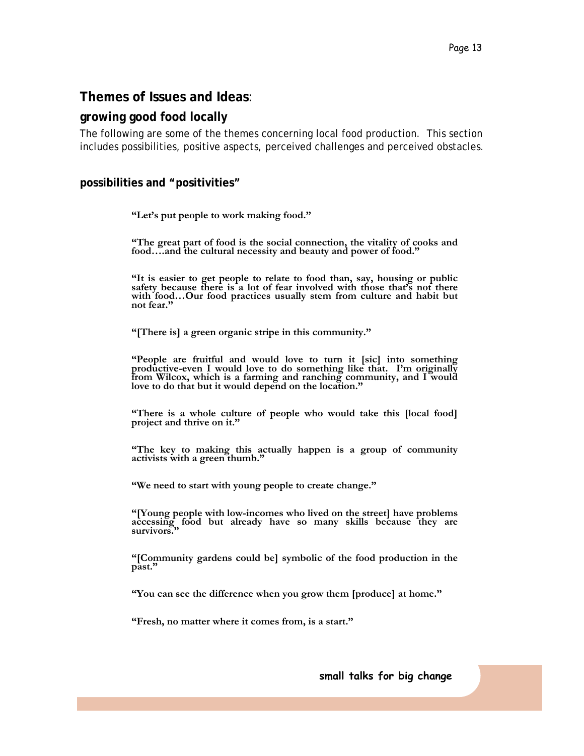### **Themes of Issues and Ideas**:

#### **growing good food locally**

The following are some of the themes concerning local food production. This section includes possibilities, positive aspects, perceived challenges and perceived obstacles.

#### **possibilities and "positivities"**

**"Let's put people to work making food."** 

**"The great part of food is the social connection, the vitality of cooks and food….and the cultural necessity and beauty and power of food."** 

**"It is easier to get people to relate to food than, say, housing or public safety because there is a lot of fear involved with those that's not there with food…Our food practices usually stem from culture and habit but not fear."** 

**"[There is] a green organic stripe in this community."** 

**"People are fruitful and would love to turn it [sic] into something productive-even I would love to do something like that. I'm originally from Wilcox, which is a farming and ranching community, and I would love to do that but it would depend on the location."** 

**"There is a whole culture of people who would take this [local food] project and thrive on it."** 

**"The key to making this actually happen is a group of community activists with a green thumb."** 

**"We need to start with young people to create change."** 

**"[Young people with low-incomes who lived on the street] have problems accessing food but already have so many skills because they are survivors."** 

**"[Community gardens could be] symbolic of the food production in the past."** 

**"You can see the difference when you grow them [produce] at home."** 

**"Fresh, no matter where it comes from, is a start."**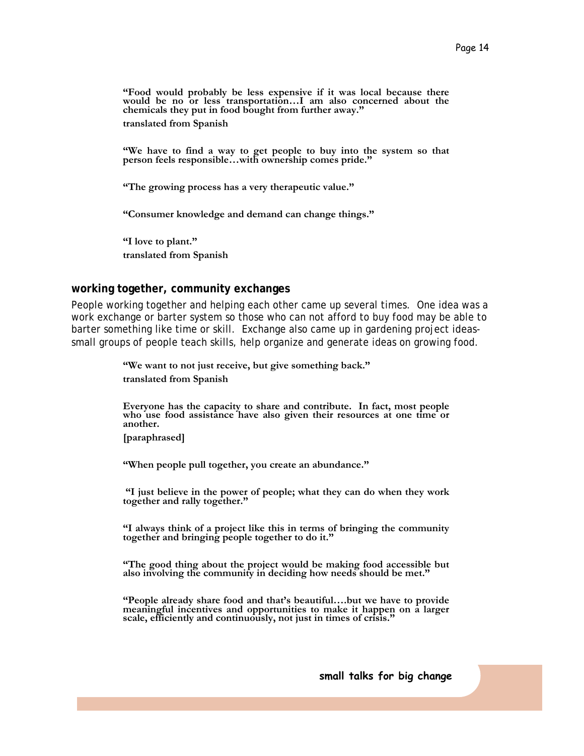**"Food would probably be less expensive if it was local because there**  would be no or less transportation...I am also concerned about the **chemicals they put in food bought from further away." translated from Spanish** 

**"We have to find a way to get people to buy into the system so that person feels responsible…with ownership comes pride."** 

**"The growing process has a very therapeutic value."** 

**"Consumer knowledge and demand can change things."** 

**"I love to plant." translated from Spanish** 

#### **working together, community exchanges**

People working together and helping each other came up several times. One idea was a work exchange or barter system so those who can not afford to buy food may be able to barter something like time or skill. Exchange also came up in gardening project ideassmall groups of people teach skills, help organize and generate ideas on growing food.

> **"We want to not just receive, but give something back." translated from Spanish**

**Everyone has the capacity to share and contribute. In fact, most people who use food assistance have also given their resources at one time or another.** 

**[paraphrased]** 

**"When people pull together, you create an abundance."** 

 **"I just believe in the power of people; what they can do when they work together and rally together."** 

**"I always think of a project like this in terms of bringing the community**  together and bringing people together to do it."

**"The good thing about the project would be making food accessible but also involving the community in deciding how needs should be met."** 

**"People already share food and that's beautiful….but we have to provide meaningful incentives and opportunities to make it happen on a larger scale, efficiently and continuously, not just in times of crisis."**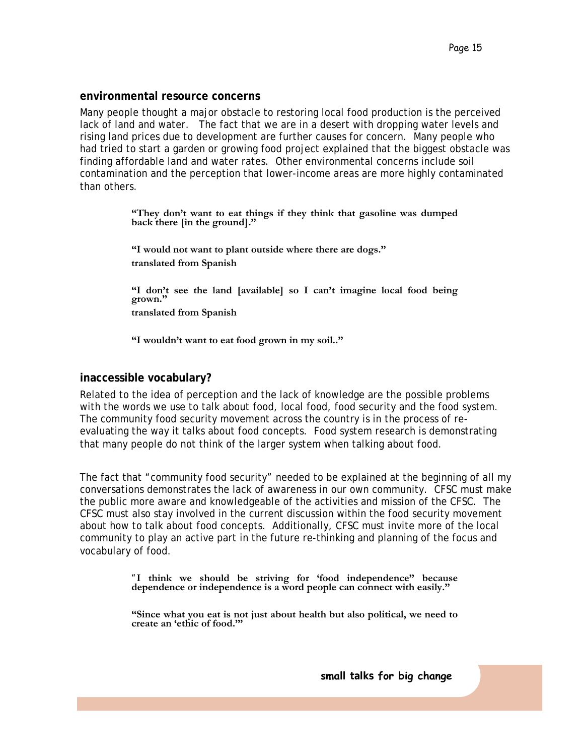#### **environmental resource concerns**

Many people thought a major obstacle to restoring local food production is the perceived lack of land and water. The fact that we are in a desert with dropping water levels and rising land prices due to development are further causes for concern. Many people who had tried to start a garden or growing food project explained that the biggest obstacle was finding affordable land and water rates. Other environmental concerns include soil contamination and the perception that lower-income areas are more highly contaminated than others.

> **"They don't want to eat things if they think that gasoline was dumped back there [in the ground]."**

**"I would not want to plant outside where there are dogs." translated from Spanish** 

**"I don't see the land [available] so I can't imagine local food being grown." translated from Spanish** 

**"I wouldn't want to eat food grown in my soil.."** 

#### **inaccessible vocabulary?**

Related to the idea of perception and the lack of knowledge are the possible problems with the words we use to talk about food, local food, food security and the food system. The community food security movement across the country is in the process of reevaluating the way it talks about food concepts. Food system research is demonstrating that many people do not think of the larger system when talking about food.

The fact that "community food security" needed to be explained at the beginning of all my conversations demonstrates the lack of awareness in our own community. CFSC must make the public more aware and knowledgeable of the activities and mission of the CFSC. The CFSC must also stay involved in the current discussion within the food security movement about how to talk about food concepts. Additionally, CFSC must invite more of the local community to play an active part in the future re-thinking and planning of the focus and vocabulary of food.

> *"***I think we should be striving for 'food independence" because dependence or independence is a word people can connect with easily."**

> **"Since what you eat is not just about health but also political, we need to create an 'ethic of food.'"**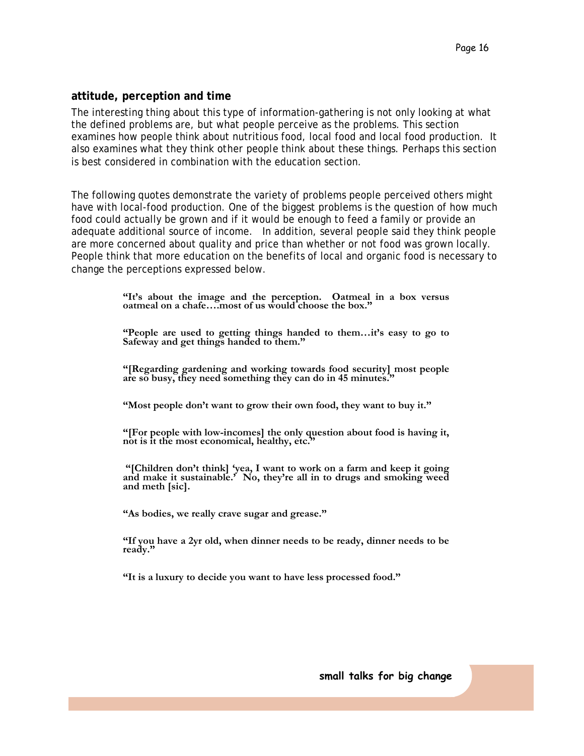#### **attitude, perception and time**

The interesting thing about this type of information-gathering is not only looking at what the defined problems are, but what people perceive as the problems. This section examines how people think about nutritious food, local food and local food production. It also examines what they think *other people* think about these things. Perhaps this section is best considered in combination with the education section.

The following quotes demonstrate the variety of problems people perceived others might have with local-food production. One of the biggest problems is the question of how much food could actually be grown and if it would be enough to feed a family or provide an adequate additional source of income. In addition, several people said they think people are more concerned about quality and price than whether or not food was grown locally. People think that more education on the benefits of local and organic food is necessary to change the perceptions expressed below.

> **"It's about the image and the perception. Oatmeal in a box versus oatmeal on a chafe….most of us would choose the box."**

> **"People are used to getting things handed to them…it's easy to go to Safeway and get things handed to them."**

**"[Regarding gardening and working towards food security] most people are so busy, they need something they can do in 45 minutes."** 

**"Most people don't want to grow their own food, they want to buy it."** 

**"[For people with low-incomes] the only question about food is having it, not is it the most economical, healthy, etc."** 

 **"[Children don't think] 'yea, I want to work on a farm and keep it going and make it sustainable.' No, they're all in to drugs and smoking weed and meth [sic].** 

**"As bodies, we really crave sugar and grease."** 

**"If you have a 2yr old, when dinner needs to be ready, dinner needs to be ready."** 

**"It is a luxury to decide you want to have less processed food."**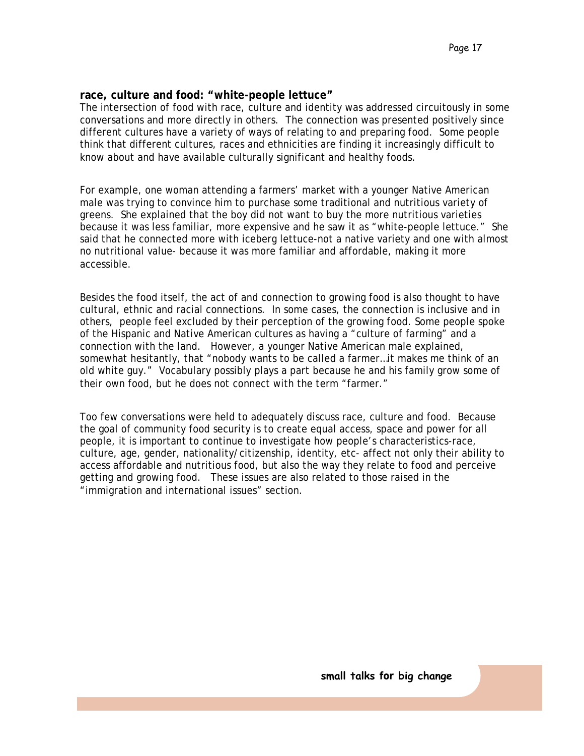#### **race, culture and food: "white-people lettuce"**

The intersection of food with race, culture and identity was addressed circuitously in some conversations and more directly in others. The connection was presented positively since different cultures have a variety of ways of relating to and preparing food. Some people think that different cultures, races and ethnicities are finding it increasingly difficult to know about and have available culturally significant and healthy foods.

For example, one woman attending a farmers' market with a younger Native American male was trying to convince him to purchase some traditional and nutritious variety of greens. She explained that the boy did not want to buy the more nutritious varieties because it was less familiar, more expensive and he saw it as "white-people lettuce." She said that he connected more with iceberg lettuce-not a native variety and one with almost no nutritional value- because it was more familiar and affordable, making it more accessible.

Besides the food itself, the act of and connection to growing food is also thought to have cultural, ethnic and racial connections. In some cases, the connection is inclusive and in others, people feel excluded by their perception of the growing food. Some people spoke of the Hispanic and Native American cultures as having a "culture of farming" and a connection with the land. However, a younger Native American male explained, somewhat hesitantly, that "nobody wants to be called a farmer…it makes me think of an old white guy." Vocabulary possibly plays a part because he and his family grow some of their own food, but he does not connect with the term "farmer."

Too few conversations were held to adequately discuss race, culture and food. Because the goal of community food security is to create equal access, space and power for all people, it is important to continue to investigate how people's characteristics-race, culture, age, gender, nationality/citizenship, identity, etc- affect not only their ability to access affordable and nutritious food, but also the way they relate to food and perceive getting and growing food. These issues are also related to those raised in the "immigration and international issues" section.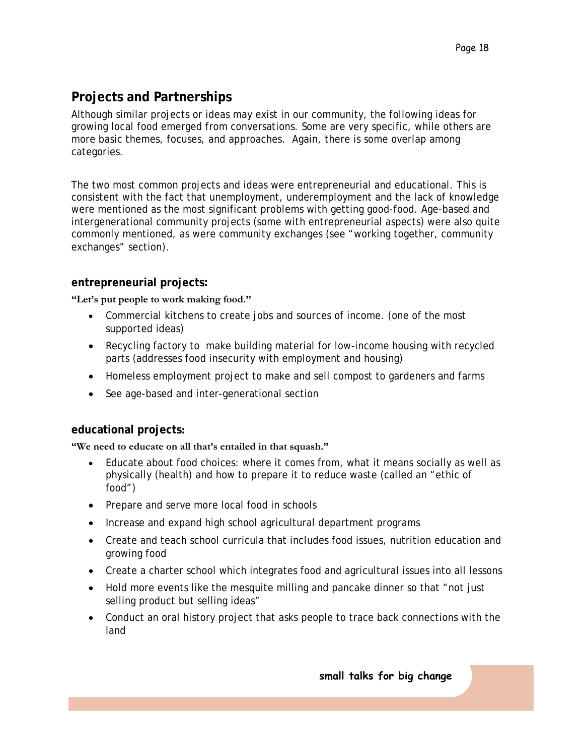### **Projects and Partnerships**

Although similar projects or ideas may exist in our community, the following ideas for growing local food emerged from conversations. Some are very specific, while others are more basic themes, focuses, and approaches. Again, there is some overlap among categories.

The two most common projects and ideas were entrepreneurial and educational. This is consistent with the fact that unemployment, underemployment and the lack of knowledge were mentioned as the most significant problems with getting good-food. Age-based and intergenerational community projects (some with entrepreneurial aspects) were also quite commonly mentioned, as were community exchanges (see "working together, community exchanges" section).

### **entrepreneurial projects:**

**"Let's put people to work making food."** 

- Commercial kitchens to create jobs and sources of income. (one of the most supported ideas)
- Recycling factory to make building material for low-income housing with recycled parts (addresses food insecurity with employment and housing)
- Homeless employment project to make and sell compost to gardeners and farms
- See age-based and inter-generational section

### **educational projects:**

**"We need to educate on all that's entailed in that squash."** 

- Educate about food choices: where it comes from, what it means socially as well as physically (health) and how to prepare it to reduce waste (called an "ethic of food")
- Prepare and serve more local food in schools
- Increase and expand high school agricultural department programs
- Create and teach school curricula that includes food issues, nutrition education and growing food
- Create a charter school which integrates food and agricultural issues into all lessons
- Hold more events like the mesquite milling and pancake dinner so that "not just selling product but selling ideas"
- Conduct an oral history project that asks people to trace back connections with the land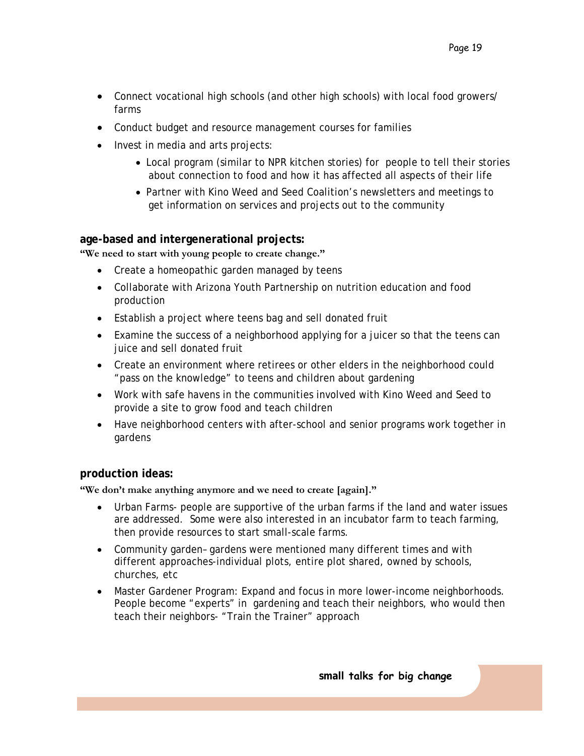- Connect vocational high schools (and other high schools) with local food growers/ farms
- Conduct budget and resource management courses for families
- Invest in media and arts projects:
	- Local program (similar to NPR kitchen stories) for people to tell their stories about connection to food and how it has affected all aspects of their life
	- Partner with Kino Weed and Seed Coalition's newsletters and meetings to get information on services and projects out to the community

#### **age-based and intergenerational projects:**

**"We need to start with young people to create change."** 

- Create a homeopathic garden managed by teens
- Collaborate with Arizona Youth Partnership on nutrition education and food production
- Establish a project where teens bag and sell donated fruit
- Examine the success of a neighborhood applying for a juicer so that the teens can juice and sell donated fruit
- Create an environment where retirees or other elders in the neighborhood could "pass on the knowledge" to teens and children about gardening
- Work with safe havens in the communities involved with Kino Weed and Seed to provide a site to grow food and teach children
- Have neighborhood centers with after-school and senior programs work together in gardens

#### **production ideas:**

**"We don't make anything anymore and we need to create [again]."** 

- Urban Farms- people are supportive of the urban farms if the land and water issues are addressed. Some were also interested in an incubator farm to teach farming, then provide resources to start small-scale farms.
- Community garden– gardens were mentioned many different times and with different approaches-individual plots, entire plot shared, owned by schools, churches, etc
- Master Gardener Program: Expand and focus in more lower-income neighborhoods. People become "experts" in gardening and teach their neighbors, who would then teach their neighbors- "Train the Trainer" approach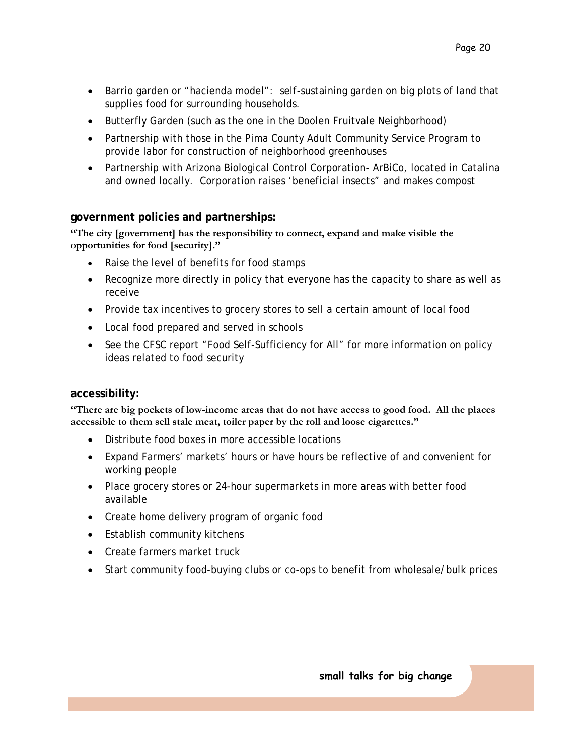- Barrio garden or "hacienda model": self-sustaining garden on big plots of land that supplies food for surrounding households.
- Butterfly Garden (such as the one in the Doolen Fruitvale Neighborhood)
- Partnership with those in the Pima County Adult Community Service Program to provide labor for construction of neighborhood greenhouses
- Partnership with Arizona Biological Control Corporation- ArBiCo, located in Catalina and owned locally. Corporation raises 'beneficial insects" and makes compost

#### **government policies and partnerships:**

**"The city [government] has the responsibility to connect, expand and make visible the opportunities for food [security]."** 

- Raise the level of benefits for food stamps
- Recognize more directly in policy that everyone has the capacity to share as well as receive
- Provide tax incentives to grocery stores to sell a certain amount of local food
- Local food prepared and served in schools
- See the CFSC report "Food Self-Sufficiency for All" for more information on policy ideas related to food security

#### **accessibility:**

**"There are big pockets of low-income areas that do not have access to good food. All the places accessible to them sell stale meat, toiler paper by the roll and loose cigarettes."** 

- Distribute food boxes in more accessible locations
- Expand Farmers' markets' hours or have hours be reflective of and convenient for working people
- Place grocery stores or 24-hour supermarkets in more areas with better food available
- Create home delivery program of organic food
- Establish community kitchens
- Create farmers market truck
- Start community food-buying clubs or co-ops to benefit from wholesale/bulk prices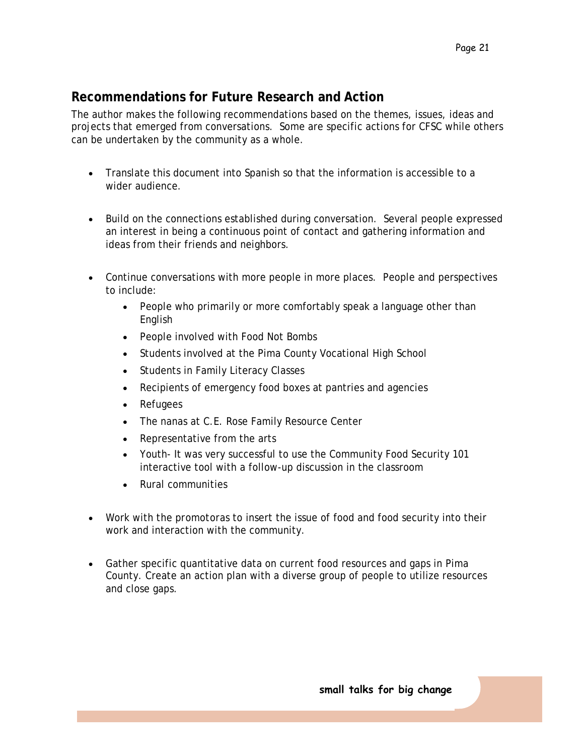### **Recommendations for Future Research and Action**

The author makes the following recommendations based on the themes, issues, ideas and projects that emerged from conversations. Some are specific actions for CFSC while others can be undertaken by the community as a whole.

- Translate this document into Spanish so that the information is accessible to a wider audience.
- Build on the connections established during conversation. Several people expressed an interest in being a continuous point of contact and gathering information and ideas from their friends and neighbors.
- Continue conversations with more people in more places. People and perspectives to include:
	- People who primarily or more comfortably speak a language other than English
	- People involved with Food Not Bombs
	- Students involved at the Pima County Vocational High School
	- Students in Family Literacy Classes
	- Recipients of emergency food boxes at pantries and agencies
	- Refugees
	- The nanas at C.E. Rose Family Resource Center
	- Representative from the arts
	- Youth- It was very successful to use the Community Food Security 101 interactive tool with a follow-up discussion in the classroom
	- Rural communities
- Work with the *promotoras* to insert the issue of food and food security into their work and interaction with the community.
- Gather specific quantitative data on current food resources and gaps in Pima County. Create an action plan with a diverse group of people to utilize resources and close gaps.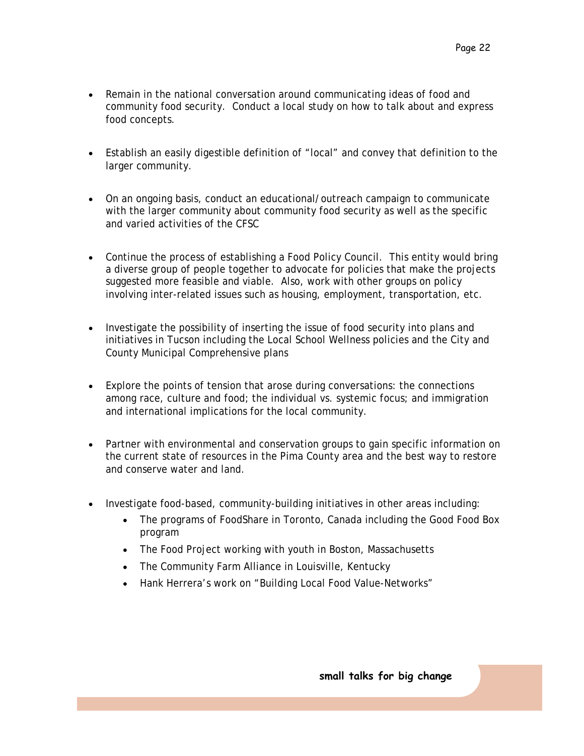- Remain in the national conversation around communicating ideas of food and community food security. Conduct a local study on how to talk about and express food concepts.
- Establish an easily digestible definition of "local" and convey that definition to the larger community.
- On an ongoing basis, conduct an educational/outreach campaign to communicate with the larger community about community food security as well as the specific and varied activities of the CFSC
- Continue the process of establishing a Food Policy Council. This entity would bring a diverse group of people together to advocate for policies that make the projects suggested more feasible and viable. Also, work with other groups on policy involving inter-related issues such as housing, employment, transportation, etc.
- Investigate the possibility of inserting the issue of food security into plans and initiatives in Tucson including the Local School Wellness policies and the City and County Municipal Comprehensive plans
- Explore the points of tension that arose during conversations: the connections among race, culture and food; the individual vs. systemic focus; and immigration and international implications for the local community.
- Partner with environmental and conservation groups to gain specific information on the current state of resources in the Pima County area and the best way to restore and conserve water and land.
- Investigate food-based, community-building initiatives in other areas including:
	- The programs of FoodShare in Toronto, Canada including the Good Food Box program
	- The Food Project working with youth in Boston, Massachusetts
	- The Community Farm Alliance in Louisville, Kentucky
	- Hank Herrera's work on "Building Local Food Value-Networks"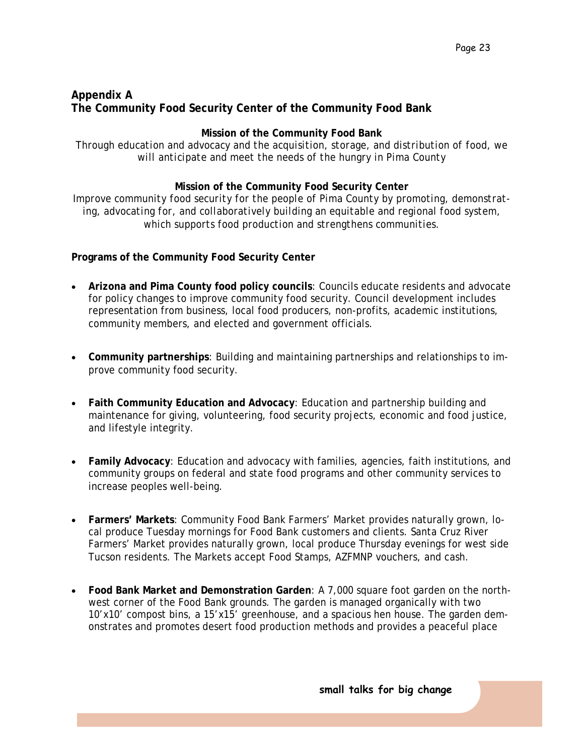### **Appendix A The Community Food Security Center of the Community Food Bank**

#### **Mission of the Community Food Bank**

*Through education and advocacy and the acquisition, storage, and distribution of food, we will anticipate and meet the needs of the hungry in Pima County* 

#### **Mission of the Community Food Security Center**

*Improve community food security for the people of Pima County by promoting, demonstrating, advocating for, and collaboratively building an equitable and regional food system, which supports food production and strengthens communities.* 

#### **Programs of the Community Food Security Center**

- **Arizona and Pima County food policy councils**: Councils educate residents and advocate for policy changes to improve community food security. Council development includes representation from business, local food producers, non-profits, academic institutions, community members, and elected and government officials.
- **Community partnerships**: Building and maintaining partnerships and relationships to improve community food security.
- **Faith Community Education and Advocacy**: Education and partnership building and maintenance for giving, volunteering, food security projects, economic and food justice, and lifestyle integrity.
- **Family Advocacy**: Education and advocacy with families, agencies, faith institutions, and community groups on federal and state food programs and other community services to increase peoples well-being.
- **Farmers' Markets**: Community Food Bank Farmers' Market provides naturally grown, local produce Tuesday mornings for Food Bank customers and clients. Santa Cruz River Farmers' Market provides naturally grown, local produce Thursday evenings for west side Tucson residents. The Markets accept Food Stamps, AZFMNP vouchers, and cash.
- **Food Bank Market and Demonstration Garden**: A 7,000 square foot garden on the northwest corner of the Food Bank grounds. The garden is managed organically with two 10'x10' compost bins, a 15'x15' greenhouse, and a spacious hen house. The garden demonstrates and promotes desert food production methods and provides a peaceful place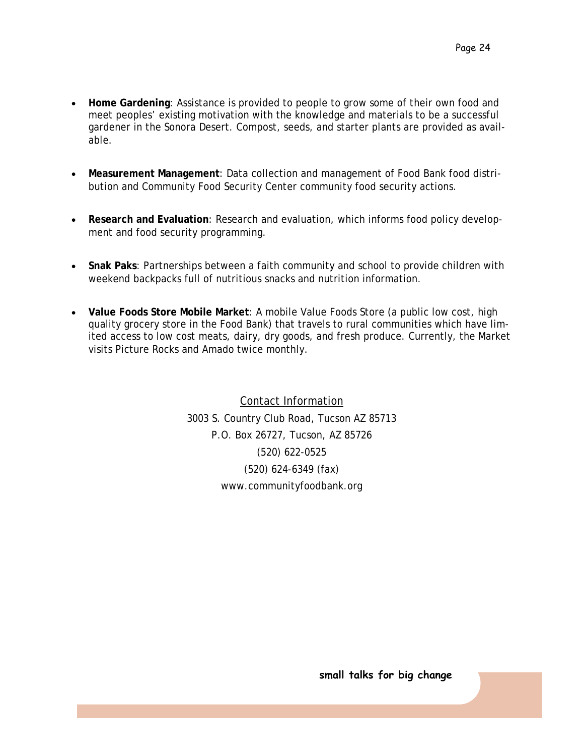- **Home Gardening**: Assistance is provided to people to grow some of their own food and meet peoples' existing motivation with the knowledge and materials to be a successful gardener in the Sonora Desert. Compost, seeds, and starter plants are provided as available.
- **Measurement Management**: Data collection and management of Food Bank food distribution and Community Food Security Center community food security actions.
- **Research and Evaluation**: Research and evaluation, which informs food policy development and food security programming.
- **Snak Paks**: Partnerships between a faith community and school to provide children with weekend backpacks full of nutritious snacks and nutrition information.
- **Value Foods Store Mobile Market**: A mobile Value Foods Store (a public low cost, high quality grocery store in the Food Bank) that travels to rural communities which have limited access to low cost meats, dairy, dry goods, and fresh produce. Currently, the Market visits Picture Rocks and Amado twice monthly.

Contact Information 3003 S. Country Club Road, Tucson AZ 85713 P.O. Box 26727, Tucson, AZ 85726 (520) 622-0525 (520) 624-6349 (fax) www.communityfoodbank.org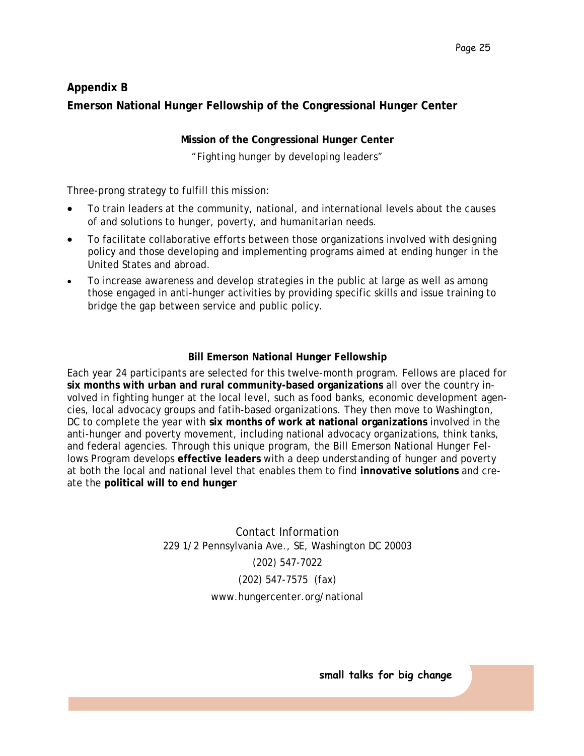### **Appendix B Emerson National Hunger Fellowship of the Congressional Hunger Center**

**Mission of the Congressional Hunger Center**  *"Fighting hunger by developing leaders"* 

Three-prong strategy to fulfill this mission:

- To train leaders at the community, national, and international levels about the causes of and solutions to hunger, poverty, and humanitarian needs.
- To facilitate collaborative efforts between those organizations involved with designing policy and those developing and implementing programs aimed at ending hunger in the United States and abroad.
- To increase awareness and develop strategies in the public at large as well as among those engaged in anti-hunger activities by providing specific skills and issue training to bridge the gap between service and public policy.

#### **Bill Emerson National Hunger Fellowship**

Each year 24 participants are selected for this twelve-month program. Fellows are placed for **six months with urban and rural community-based organizations** all over the country involved in fighting hunger at the local level, such as food banks, economic development agencies, local advocacy groups and fatih-based organizations. They then move to Washington, DC to complete the year with **six months of work at national organizations** involved in the anti-hunger and poverty movement, including national advocacy organizations, think tanks, and federal agencies. Through this unique program, the Bill Emerson National Hunger Fellows Program develops **effective leaders** with a deep understanding of hunger and poverty at both the local and national level that enables them to find **innovative solutions** and create the **political will to end hunger** 

> Contact Information 229 1/2 Pennsylvania Ave., SE, Washington DC 20003 (202) 547-7022 (202) 547-7575 (fax) www.hungercenter.org/national